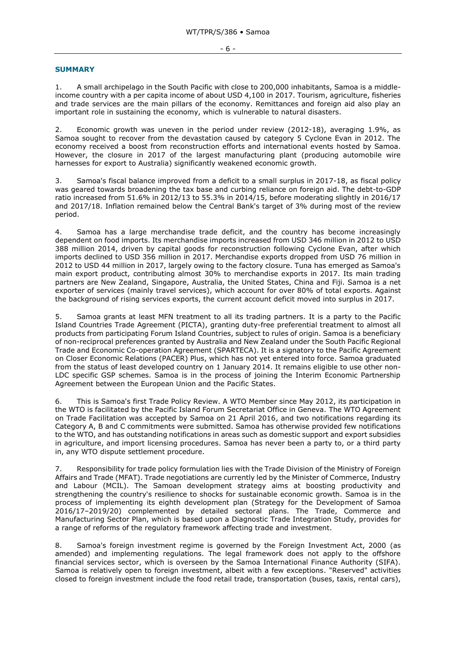## **SUMMARY**

1. A small archipelago in the South Pacific with close to 200,000 inhabitants, Samoa is a middleincome country with a per capita income of about USD 4,100 in 2017. Tourism, agriculture, fisheries and trade services are the main pillars of the economy. Remittances and foreign aid also play an important role in sustaining the economy, which is vulnerable to natural disasters.

2. Economic growth was uneven in the period under review (2012-18), averaging 1.9%, as Samoa sought to recover from the devastation caused by category 5 Cyclone Evan in 2012. The economy received a boost from reconstruction efforts and international events hosted by Samoa. However, the closure in 2017 of the largest manufacturing plant (producing automobile wire harnesses for export to Australia) significantly weakened economic growth.

3. Samoa's fiscal balance improved from a deficit to a small surplus in 2017-18, as fiscal policy was geared towards broadening the tax base and curbing reliance on foreign aid. The debt-to-GDP ratio increased from 51.6% in 2012/13 to 55.3% in 2014/15, before moderating slightly in 2016/17 and 2017/18. Inflation remained below the Central Bank's target of 3% during most of the review period.

4. Samoa has a large merchandise trade deficit, and the country has become increasingly dependent on food imports. Its merchandise imports increased from USD 346 million in 2012 to USD 388 million 2014, driven by capital goods for reconstruction following Cyclone Evan, after which imports declined to USD 356 million in 2017. Merchandise exports dropped from USD 76 million in 2012 to USD 44 million in 2017, largely owing to the factory closure. Tuna has emerged as Samoa's main export product, contributing almost 30% to merchandise exports in 2017. Its main trading partners are New Zealand, Singapore, Australia, the United States, China and Fiji. Samoa is a net exporter of services (mainly travel services), which account for over 80% of total exports. Against the background of rising services exports, the current account deficit moved into surplus in 2017.

5. Samoa grants at least MFN treatment to all its trading partners. It is a party to the Pacific Island Countries Trade Agreement (PICTA), granting duty-free preferential treatment to almost all products from participating Forum Island Countries, subject to rules of origin. Samoa is a beneficiary of non-reciprocal preferences granted by Australia and New Zealand under the South Pacific Regional Trade and Economic Co-operation Agreement (SPARTECA). It is a signatory to the Pacific Agreement on Closer Economic Relations (PACER) Plus, which has not yet entered into force. Samoa graduated from the status of least developed country on 1 January 2014. It remains eligible to use other non-LDC specific GSP schemes. Samoa is in the process of joining the Interim Economic Partnership Agreement between the European Union and the Pacific States.

6. This is Samoa's first Trade Policy Review. A WTO Member since May 2012, its participation in the WTO is facilitated by the Pacific Island Forum Secretariat Office in Geneva. The WTO Agreement on Trade Facilitation was accepted by Samoa on 21 April 2016, and two notifications regarding its Category A, B and C commitments were submitted. Samoa has otherwise provided few notifications to the WTO, and has outstanding notifications in areas such as domestic support and export subsidies in agriculture, and import licensing procedures. Samoa has never been a party to, or a third party in, any WTO dispute settlement procedure.

7. Responsibility for trade policy formulation lies with the Trade Division of the Ministry of Foreign Affairs and Trade (MFAT). Trade negotiations are currently led by the Minister of Commerce, Industry and Labour (MCIL). The Samoan development strategy aims at boosting productivity and strengthening the country's resilience to shocks for sustainable economic growth. Samoa is in the process of implementing its eighth development plan (Strategy for the Development of Samoa 2016/17–2019/20) complemented by detailed sectoral plans. The Trade, Commerce and Manufacturing Sector Plan, which is based upon a Diagnostic Trade Integration Study, provides for a range of reforms of the regulatory framework affecting trade and investment.

8. Samoa's foreign investment regime is governed by the Foreign Investment Act, 2000 (as amended) and implementing regulations. The legal framework does not apply to the offshore financial services sector, which is overseen by the Samoa International Finance Authority (SIFA). Samoa is relatively open to foreign investment, albeit with a few exceptions. "Reserved" activities closed to foreign investment include the food retail trade, transportation (buses, taxis, rental cars),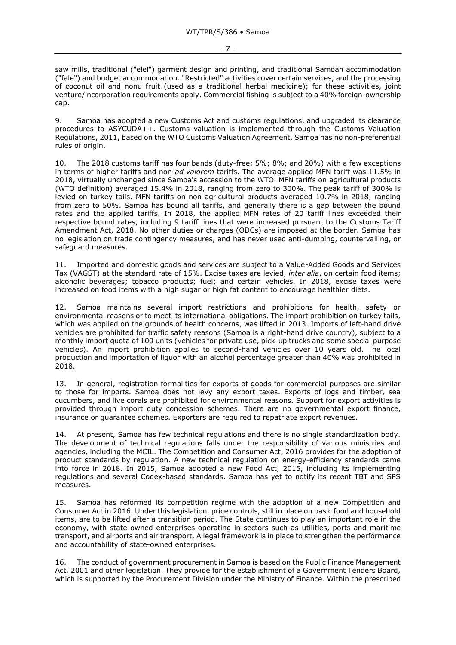- 7 -

saw mills, traditional ("elei") garment design and printing, and traditional Samoan accommodation ("fale") and budget accommodation. "Restricted" activities cover certain services, and the processing of coconut oil and nonu fruit (used as a traditional herbal medicine); for these activities, joint venture/incorporation requirements apply. Commercial fishing is subject to a 40% foreign-ownership cap.

9. Samoa has adopted a new Customs Act and customs regulations, and upgraded its clearance procedures to ASYCUDA++. Customs valuation is implemented through the Customs Valuation Regulations, 2011, based on the WTO Customs Valuation Agreement. Samoa has no non-preferential rules of origin.

10. The 2018 customs tariff has four bands (duty-free; 5%; 8%; and 20%) with a few exceptions in terms of higher tariffs and non-*ad valorem* tariffs. The average applied MFN tariff was 11.5% in 2018, virtually unchanged since Samoa's accession to the WTO. MFN tariffs on agricultural products (WTO definition) averaged 15.4% in 2018, ranging from zero to 300%. The peak tariff of 300% is levied on turkey tails. MFN tariffs on non-agricultural products averaged 10.7% in 2018, ranging from zero to 50%. Samoa has bound all tariffs, and generally there is a gap between the bound rates and the applied tariffs. In 2018, the applied MFN rates of 20 tariff lines exceeded their respective bound rates, including 9 tariff lines that were increased pursuant to the Customs Tariff Amendment Act, 2018. No other duties or charges (ODCs) are imposed at the border. Samoa has no legislation on trade contingency measures, and has never used anti-dumping, countervailing, or safeguard measures.

11. Imported and domestic goods and services are subject to a Value-Added Goods and Services Tax (VAGST) at the standard rate of 15%. Excise taxes are levied, *inter alia*, on certain food items; alcoholic beverages; tobacco products; fuel; and certain vehicles. In 2018, excise taxes were increased on food items with a high sugar or high fat content to encourage healthier diets.

12. Samoa maintains several import restrictions and prohibitions for health, safety or environmental reasons or to meet its international obligations. The import prohibition on turkey tails, which was applied on the grounds of health concerns, was lifted in 2013. Imports of left-hand drive vehicles are prohibited for traffic safety reasons (Samoa is a right-hand drive country), subject to a monthly import quota of 100 units (vehicles for private use, pick-up trucks and some special purpose vehicles). An import prohibition applies to second-hand vehicles over 10 years old. The local production and importation of liquor with an alcohol percentage greater than 40% was prohibited in 2018.

13. In general, registration formalities for exports of goods for commercial purposes are similar to those for imports. Samoa does not levy any export taxes. Exports of logs and timber, sea cucumbers, and live corals are prohibited for environmental reasons. Support for export activities is provided through import duty concession schemes. There are no governmental export finance, insurance or guarantee schemes. Exporters are required to repatriate export revenues.

14. At present, Samoa has few technical regulations and there is no single standardization body. The development of technical regulations falls under the responsibility of various ministries and agencies, including the MCIL. The Competition and Consumer Act, 2016 provides for the adoption of product standards by regulation. A new technical regulation on energy-efficiency standards came into force in 2018. In 2015, Samoa adopted a new Food Act, 2015, including its implementing regulations and several Codex-based standards. Samoa has yet to notify its recent TBT and SPS measures.

15. Samoa has reformed its competition regime with the adoption of a new Competition and Consumer Act in 2016. Under this legislation, price controls, still in place on basic food and household items, are to be lifted after a transition period. The State continues to play an important role in the economy, with state-owned enterprises operating in sectors such as utilities, ports and maritime transport, and airports and air transport. A legal framework is in place to strengthen the performance and accountability of state-owned enterprises.

16. The conduct of government procurement in Samoa is based on the Public Finance Management Act, 2001 and other legislation. They provide for the establishment of a Government Tenders Board, which is supported by the Procurement Division under the Ministry of Finance. Within the prescribed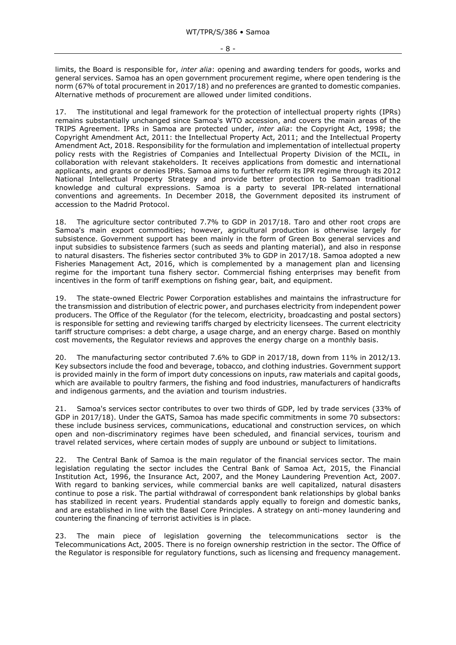limits, the Board is responsible for, *inter alia*: opening and awarding tenders for goods, works and general services. Samoa has an open government procurement regime, where open tendering is the norm (67% of total procurement in 2017/18) and no preferences are granted to domestic companies. Alternative methods of procurement are allowed under limited conditions.

17. The institutional and legal framework for the protection of intellectual property rights (IPRs) remains substantially unchanged since Samoa's WTO accession, and covers the main areas of the TRIPS Agreement. IPRs in Samoa are protected under, *inter alia*: the Copyright Act, 1998; the Copyright Amendment Act, 2011: the Intellectual Property Act, 2011; and the Intellectual Property Amendment Act, 2018. Responsibility for the formulation and implementation of intellectual property policy rests with the Registries of Companies and Intellectual Property Division of the MCIL, in collaboration with relevant stakeholders. It receives applications from domestic and international applicants, and grants or denies IPRs. Samoa aims to further reform its IPR regime through its 2012 National Intellectual Property Strategy and provide better protection to Samoan traditional knowledge and cultural expressions. Samoa is a party to several IPR-related international conventions and agreements. In December 2018, the Government deposited its instrument of accession to the [Madrid Protocol.](https://www.wipo.int/treaties/en/registration/madrid_protocol/)

18. The agriculture sector contributed 7.7% to GDP in 2017/18. Taro and other root crops are Samoa's main export commodities; however, agricultural production is otherwise largely for subsistence. Government support has been mainly in the form of Green Box general services and input subsidies to subsistence farmers (such as seeds and planting material), and also in response to natural disasters. The fisheries sector contributed 3% to GDP in 2017/18. Samoa adopted a new Fisheries Management Act, 2016, which is complemented by a management plan and licensing regime for the important tuna fishery sector. Commercial fishing enterprises may benefit from incentives in the form of tariff exemptions on fishing gear, bait, and equipment.

19. The state-owned Electric Power Corporation establishes and maintains the infrastructure for the transmission and distribution of electric power, and purchases electricity from independent power producers. The Office of the Regulator (for the telecom, electricity, broadcasting and postal sectors) is responsible for setting and reviewing tariffs charged by electricity licensees. The current electricity tariff structure comprises: a debt charge, a usage charge, and an energy charge. Based on monthly cost movements, the Regulator reviews and approves the energy charge on a monthly basis.

20. The manufacturing sector contributed 7.6% to GDP in 2017/18, down from 11% in 2012/13. Key subsectors include the food and beverage, tobacco, and clothing industries. Government support is provided mainly in the form of import duty concessions on inputs, raw materials and capital goods, which are available to poultry farmers, the fishing and food industries, manufacturers of handicrafts and indigenous garments, and the aviation and tourism industries.

21. Samoa's services sector contributes to over two thirds of GDP, led by trade services (33% of GDP in 2017/18). Under the GATS, Samoa has made specific commitments in some 70 subsectors: these include business services, communications, educational and construction services, on which open and non-discriminatory regimes have been scheduled, and financial services, tourism and travel related services, where certain modes of supply are unbound or subject to limitations.

22. The Central Bank of Samoa is the main regulator of the financial services sector. The main legislation regulating the sector includes the Central Bank of Samoa Act, 2015, the Financial Institution Act, 1996, the Insurance Act, 2007, and the Money Laundering Prevention Act, 2007. With regard to banking services, while commercial banks are well capitalized, natural disasters continue to pose a risk. The partial withdrawal of correspondent bank relationships by global banks has stabilized in recent years. Prudential standards apply equally to foreign and domestic banks, and are established in line with the Basel Core Principles. A strategy on anti-money laundering and countering the financing of terrorist activities is in place.

23. The main piece of legislation governing the telecommunications sector is the Telecommunications Act, 2005. There is no foreign ownership restriction in the sector. The Office of the Regulator is responsible for regulatory functions, such as licensing and frequency management.